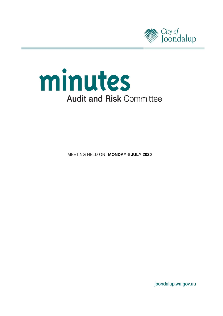



**MEETING HELD ON MONDAY 6 JULY 2020** 

joondalup.wa.gov.au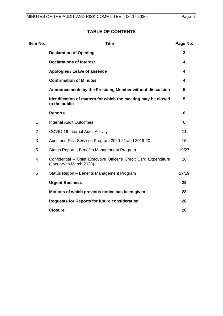# **TABLE OF CONTENTS**

| Item No.       | <b>Title</b>                                                                                | Page No. |
|----------------|---------------------------------------------------------------------------------------------|----------|
|                | <b>Declaration of Opening</b>                                                               | 3        |
|                | <b>Declarations of Interest</b>                                                             | 4        |
|                | Apologies / Leave of absence                                                                | 4        |
|                | <b>Confirmation of Minutes</b>                                                              | 4        |
|                | Announcements by the Presiding Member without discussion                                    | 5        |
|                | Identification of matters for which the meeting may be closed<br>to the public              | 5        |
|                | <b>Reports</b>                                                                              | 6        |
| $\mathbf{1}$   | <b>Internal Audit Outcomes</b>                                                              | 6        |
| $\overline{2}$ | <b>COVID-19 Internal Audit Activity</b>                                                     | 11       |
| 3              | Audit and Risk Services Program 2020-21 and 2019-20                                         | 15       |
| 5              | Status Report - Benefits Management Program                                                 | 19/27    |
| 4              | Confidential - Chief Executive Officer's Credit Card Expenditure<br>(January to March 2020) | 26       |
| 5              | Status Report - Benefits Management Program                                                 | 27/19    |
|                | <b>Urgent Business</b>                                                                      | 28       |
|                | Motions of which previous notice has been given                                             | 28       |
|                | <b>Requests for Reports for future consideration</b>                                        | 28       |
|                | <b>Closure</b>                                                                              | 28       |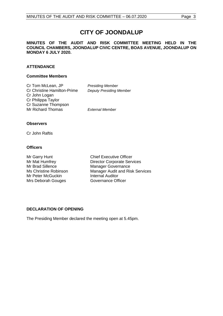# **CITY OF JOONDALUP**

**MINUTES OF THE AUDIT AND RISK COMMITTEE MEETING HELD IN THE COUNCIL CHAMBERS, JOONDALUP CIVIC CENTRE, BOAS AVENUE, JOONDALUP ON MONDAY 6 JULY 2020.** 

# **ATTENDANCE**

#### **Committee Members**

Cr Tom McLean, JP *Presiding Member* Cr Christine Hamilton-Prime *Deputy Presiding Member* Cr John Logan Cr Philippa Taylor Cr Suzanne Thompson Mr Richard Thomas *External Member*

#### **Observers**

Cr John Raftis

### **Officers**

Mr Brad Sillence Manager Governance<br>
Ms Christine Robinson<br>
Manager Audit and Ris Mr Peter McGuckin<br>
Mrs Deborah Gouges<br>
Governance Officer Mrs Deborah Gouges

Mr Garry Hunt Chief Executive Officer Mr Mat Humfrey **Director Corporate Services** Manager Audit and Risk Services

# <span id="page-2-0"></span>**DECLARATION OF OPENING**

<span id="page-2-1"></span>The Presiding Member declared the meeting open at 5.45pm.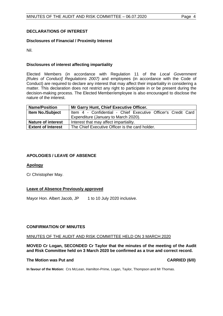# **DECLARATIONS OF INTEREST**

# **Disclosures of Financial / Proximity Interest**

Nil.

# **Disclosures of interest affecting impartiality**

Elected Members (in accordance with Regulation 11 of the *Local Government [Rules of Conduct] Regulations 2007)* and employees (in accordance with the Code of Conduct) are required to declare any interest that may affect their impartiality in considering a matter. This declaration does not restrict any right to participate in or be present during the decision-making process. The Elected Member/employee is also encouraged to disclose the nature of the interest.

| <b>Name/Position</b>      | Mr Garry Hunt, Chief Executive Officer.                       |  |  |  |
|---------------------------|---------------------------------------------------------------|--|--|--|
| <b>Item No./Subject</b>   | Item 4 - Confidential - Chief Executive Officer's Credit Card |  |  |  |
|                           | Expenditure (January to March 2020).                          |  |  |  |
| <b>Nature of interest</b> | Interest that may affect impartiality.                        |  |  |  |
| <b>Extent of Interest</b> | The Chief Executive Officer is the card holder.               |  |  |  |

# <span id="page-3-0"></span>**APOLOGIES / LEAVE OF ABSENCE**

### **Apology**

Cr Christopher May.

### **Leave of Absence Previously approved**

<span id="page-3-1"></span>Mayor Hon. Albert Jacob, JP 1 to 10 July 2020 inclusive.

### **CONFIRMATION OF MINUTES**

### MINUTES OF THE AUDIT AND RISK COMMITTEE HELD ON 3 MARCH 2020

**MOVED Cr Logan, SECONDED Cr Taylor that the minutes of the meeting of the Audit and Risk Committee held on 3 March 2020 be confirmed as a true and correct record.**

#### The Motion was Put and **CARRIED** (6/0)

<span id="page-3-2"></span>**In favour of the Motion:** Crs McLean, Hamilton-Prime, Logan, Taylor, Thompson and Mr Thomas.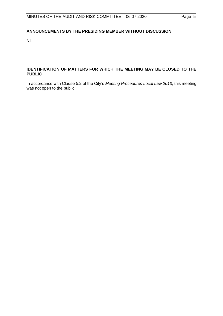# **ANNOUNCEMENTS BY THE PRESIDING MEMBER WITHOUT DISCUSSION**

Nil.

## <span id="page-4-0"></span>**IDENTIFICATION OF MATTERS FOR WHICH THE MEETING MAY BE CLOSED TO THE PUBLIC**

In accordance with Clause 5.2 of the City's *Meeting Procedures Local Law 2013*, this meeting was not open to the public.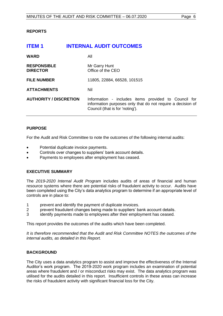# <span id="page-5-0"></span>**REPORTS**

<span id="page-5-1"></span>

| <b>ITEM1</b>                          | <b>INTERNAL AUDIT OUTCOMES</b>                                                                                                                         |
|---------------------------------------|--------------------------------------------------------------------------------------------------------------------------------------------------------|
| <b>WARD</b>                           | All                                                                                                                                                    |
| <b>RESPONSIBLE</b><br><b>DIRECTOR</b> | Mr Garry Hunt<br>Office of the CEO                                                                                                                     |
| <b>FILE NUMBER</b>                    | 11805, 22884, 66528, 101515                                                                                                                            |
| <b>ATTACHMENTS</b>                    | Nil                                                                                                                                                    |
| <b>AUTHORITY / DISCRETION</b>         | Information - includes items provided to Council for<br>information purposes only that do not require a decision of<br>Council (that is for 'noting'). |

### **PURPOSE**

For the Audit and Risk Committee to note the outcomes of the following internal audits:

- Potential duplicate invoice payments.
- Controls over changes to suppliers' bank account details.
- Payments to employees after employment has ceased.

# **EXECUTIVE SUMMARY**

The *2019-2020 Internal Audit Program* includes audits of areas of financial and human resource systems where there are potential risks of fraudulent activity to occur. Audits have been completed using the City's data analytics program to determine if an appropriate level of controls are in place to:

- 1 prevent and identify the payment of duplicate invoices.
- 2 prevent fraudulent changes being made to suppliers' bank account details.
- 3 identify payments made to employees after their employment has ceased.

This report provides the outcomes of the audits which have been completed.

*It is therefore recommended that the Audit and Risk Committee NOTES the outcomes of the internal audits, as detailed in this Report.*

# **BACKGROUND**

The City uses a data analytics program to assist and improve the effectiveness of the Internal Auditor's work program. The 2019-2020 work program includes an examination of potential areas where fraudulent and / or misconduct risks may exist. The data analytics program was utilised for the audits detailed in this report. Insufficient controls in these areas can increase the risks of fraudulent activity with significant financial loss for the City.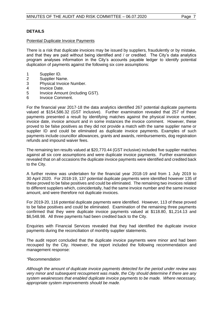# **DETAILS**

#### Potential Duplicate Invoice Payments

There is a risk that duplicate invoices may be issued by suppliers, fraudulently or by mistake, and that they are paid without being identified and / or credited. The City's data analytics program analyses information in the City's accounts payable ledger to identify potential duplication of payments against the following six core assumptions:

- 1 Supplier ID.
- 2 Supplier Name.
- 3 Physical Invoice Number.
- 4 Invoice Date.
- 5 Invoice Amount (including GST).
- 6 Invoice Comment.

For the financial year 2017-18 the data analytics identified 267 potential duplicate payments valued at \$154,586.32 (GST inclusive). Further examination revealed that 257 of these payments presented a result by identifying matches against the physical invoice number, invoice date, invoice amount and in some instances the invoice comment. However, these proved to be false positives as they did not provide a match with the same supplier name or supplier ID and could be eliminated as duplicate invoice payments. Examples of such payments include councillor allowances, grants and awards, reimbursements, dog registration refunds and impound waiver fees.

The remaining ten results valued at \$20,770.44 (GST inclusive) included five supplier matches against all six core assumptions and were duplicate invoice payments. Further examination revealed that on all occasions the duplicate invoice payments were identified and credited back to the City.

A further review was undertaken for the financial year 2018-19 and from 1 July 2019 to 30 April 2020. For 2018-19, 137 potential duplicate payments were identified however 135 of these proved to be false positives and could be eliminated. The remaining two invoices related to different suppliers which, coincidentally, had the same invoice number and the same invoice amount, and were therefore not duplicate invoices.

For 2019-20, 116 potential duplicate payments were identified. However, 113 of these proved to be false positives and could be eliminated. Examination of the remaining three payments confirmed that they were duplicate invoice payments valued at \$118.80, \$1,214.13 and \$6,548.98. All three payments had been credited back to the City.

Enquiries with Financial Services revealed that they had identified the duplicate invoice payments during the reconciliation of monthly supplier statements.

The audit report concluded that the duplicate invoice payments were minor and had been recouped by the City. However, the report included the following recommendation and management response:

#### *"Recommendation*

*Although the amount of duplicate invoice payments detected for the period under review was very minor and subsequent recoupment was made, the City should determine if there are any system weaknesses that enabled duplicate invoice payments to be made. Where necessary, appropriate system improvements should be made.*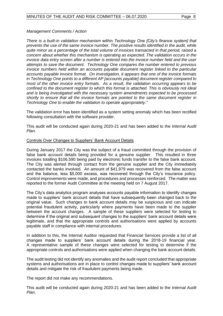### *Management Comments / Action*

*There is a built-in validation mechanism within Technology One [City's finance system] that prevents the use of the same invoice number. The positive results identified in the audit, while quite minor as a percentage of the total volume of invoices transacted in that period, raised a concern about whether this mechanism is operating as expected. The validation occurs in the invoice data entry screen after a number is entered into the invoice number field and the user attempts to save the document. Technology One compares the number entered to previous invoice numbers held within an accounts payable document register linked to the particular accounts payable invoice format. On investigation, it appears that one of the invoice formats in Technology One points to a different AP [accounts payable] document register compared to most of the other invoice entry formats. As a result, the validation occurring appears to be confined to the document register to which this format is attached. This is obviously not ideal and is being investigated with the necessary system amendments expected to be processed shortly to ensure that all the invoice formats are pointed to the same document register in Technology One to enable the validation to operate appropriately."*

The validation error has been identified as a system setting anomaly which has been rectified following consultation with the software provider.

This audit will be conducted again during 2020-21 and has been added to the *Internal Audit Plan*.

#### Controls Over Changes to Suppliers' Bank Account Details

During January 2017 the City was the subject of a fraud committed through the provision of false bank account details being provided for a genuine supplier. This resulted in three invoices totalling \$106,590 being paid by electronic funds transfer to the false bank account. The City was alerted through contact from the genuine supplier and the City immediately contacted the banks involved. An amount of \$41,979 was recovered from the false account and the balance, less \$5,000 excess, was recovered through the City's insurance policy. Control improvements were made, and procedures and processes reinforced. The matter was reported to the former Audit Committee at the meeting held on 7 August 2017.

The City's data analytics program analyses accounts payable information to identify changes made to suppliers' bank account details that have subsequently been changed back to the original value. Such changes to bank account details may be suspicious and can indicate potential fraudulent activity, particularly where payments have been made to the supplier between the account changes. A sample of these suppliers were selected for testing to determine if the original and subsequent changes to the suppliers' bank account details were legitimate, and that the appropriate controls and authorisations were applied by accounts payable staff in compliance with internal procedures.

In addition to this, the Internal Auditor requested that Financial Services provide a list of all changes made to suppliers' bank account details during the 2018-19 financial year. A representative sample of these changes were selected for testing to determine if the appropriate controls and authorisations were applied when changing the bank account details.

The audit testing did not identify any anomalies and the audit report concluded that appropriate systems and authorisations are in place to control changes made to suppliers' bank account details and mitigate the risk of fraudulent payments being made.

The report did not make any recommendations.

This audit will be conducted again during 2020-21 and has been added to the *Internal Audit Plan*.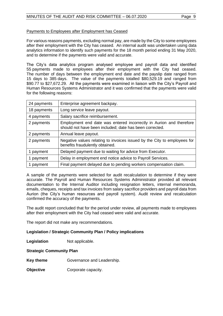### Payments to Employees after Employment has Ceased

For various reasons payments, excluding normal pay, are made by the City to some employees after their employment with the City has ceased. An internal audit was undertaken using data analytics information to identify such payments for the 18 month period ending 31 May 2020, and to determine if the payments were valid and accurate.

The City's data analytics program analysed employee and payroll data and identified 55 payments made to employees after their employment with the City had ceased. The number of days between the employment end date and the payslip date ranged from 15 days to 385 days. The value of the payments totalled \$80,529.19 and ranged from \$90.77 to \$27,672.29. All the payments were examined in liaison with the City's Payroll and Human Resources Systems Administrator and it was confirmed that the payments were valid for the following reasons:

| 24 payments | Enterprise agreement backpay.                                                                                                  |
|-------------|--------------------------------------------------------------------------------------------------------------------------------|
| 18 payments | Long service leave payout.                                                                                                     |
| 4 payments  | Salary sacrifice reimbursement.                                                                                                |
| 2 payments  | Employment end date was entered incorrectly in Aurion and therefore<br>should not have been included; date has been corrected. |
| 2 payments  | Annual leave payout.                                                                                                           |
| 2 payments  | Negative values relating to invoices issued by the City to employees for<br>benefits fraudulently obtained.                    |
| 1 payment   | Delayed payment due to waiting for advice from Executor.                                                                       |
| 1 payment   | Delay in employment end notice advice to Payroll Services.                                                                     |
| 1 payment   | Final payment delayed due to pending workers compensation claim.                                                               |

A sample of the payments were selected for audit recalculation to determine if they were accurate. The Payroll and Human Resources Systems Administrator provided all relevant documentation to the Internal Auditor including resignation letters, internal memoranda, emails, cheques, receipts and tax invoices from salary sacrifice providers and payroll data from Aurion (the City's human resources and payroll system). Audit review and recalculation confirmed the accuracy of the payments.

The audit report concluded that for the period under review, all payments made to employees after their employment with the City had ceased were valid and accurate.

The report did not make any recommendations.

### **Legislation / Strategic Community Plan / Policy implications**

**Legislation** Not applicable.

### **Strategic Community Plan**

- **Key theme** Governance and Leadership.
- **Objective Corporate capacity.**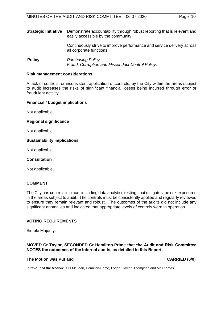**Strategic initiative** Demonstrate accountability through robust reporting that is relevant and easily accessible by the community. Continuously strive to improve performance and service delivery across all corporate functions.

**Policy** *Purchasing Policy. Fraud, Corruption and Misconduct Control Policy*.

#### **Risk management considerations**

A lack of controls, or inconsistent application of controls, by the City within the areas subject to audit increases the risks of significant financial losses being incurred through error or fraudulent activity.

#### **Financial / budget implications**

Not applicable.

#### **Regional significance**

Not applicable.

#### **Sustainability implications**

Not applicable.

#### **Consultation**

Not applicable.

## **COMMENT**

The City has controls in place, including data analytics testing, that mitigates the risk exposures in the areas subject to audit. The controls must be consistently applied and regularly reviewed to ensure they remain relevant and robust. The outcomes of the audits did not include any significant anomalies and indicated that appropriate levels of controls were in operation.

### **VOTING REQUIREMENTS**

Simple Majority.

#### **MOVED Cr Taylor, SECONDED Cr Hamilton-Prime that the Audit and Risk Committee NOTES the outcomes of the internal audits, as detailed in this Report.**

#### **The Motion was Put and CARRIED (6/0) CARRIED (6/0)**

**In favour of the Motion:** Crs McLean, Hamilton-Prime, Logan, Taylor, Thompson and Mr Thomas.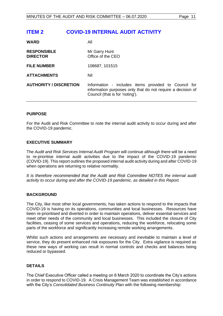# <span id="page-10-0"></span>**ITEM 2 COVID-19 INTERNAL AUDIT ACTIVITY**

| <b>WARD</b>                           | Αll                                                                                                                                                    |
|---------------------------------------|--------------------------------------------------------------------------------------------------------------------------------------------------------|
| <b>RESPONSIBLE</b><br><b>DIRECTOR</b> | Mr Garry Hunt<br>Office of the CEO                                                                                                                     |
| <b>FILE NUMBER</b>                    | 108687, 101515                                                                                                                                         |
| <b>ATTACHMENTS</b>                    | Nil                                                                                                                                                    |
| <b>AUTHORITY / DISCRETION</b>         | Information - includes items provided to Council for<br>information purposes only that do not require a decision of<br>Council (that is for 'noting'). |

#### **PURPOSE**

For the Audit and Risk Committee to note the internal audit activity to occur during and after the COVID-19 pandemic.

#### **EXECUTIVE SUMMARY**

The *Audit and Risk Services Internal Audit Program* will continue although there will be a need to re-prioritise internal audit activities due to the impact of the COVID-19 pandemic (COVID-19). This report outlines the proposed internal audit activity during and after COVID-19 when operations are returning to relative normality.

*It is therefore recommended that the Audit and Risk Committee NOTES the internal audit activity to occur during and after the COVID-19 pandemic, as detailed in this Report.*

### **BACKGROUND**

The City, like most other local governments, has taken actions to respond to the impacts that COVID-19 is having on its operations, communities and local businesses. Resources have been re-prioritised and diverted in order to maintain operations, deliver essential services and meet other needs of the community and local businesses. This included the closure of City facilities, ceasing of some services and operations, reducing the workforce, relocating some parts of the workforce and significantly increasing remote working arrangements.

Whilst such actions and arrangements are necessary and inevitable to maintain a level of service, they do present enhanced risk exposures for the City. Extra vigilance is required as these new ways of working can result in normal controls and checks and balances being reduced or bypassed.

### **DETAILS**

The Chief Executive Officer called a meeting on 6 March 2020 to coordinate the City's actions in order to respond to COVID-19. A Crisis Management Team was established in accordance with the City's *Consolidated Business Continuity Plan* with the following membership: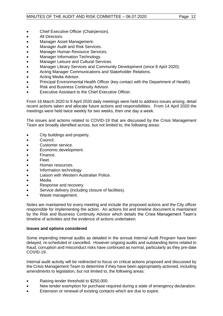- Chief Executive Officer (Chairperson).
- All Directors.
- Manager Asset Management.
- Manager Audit and Risk Services.
- Manager Human Resource Services.
- Manager Information Technology.
- Manager Leisure and Cultural Services.
- Manager Library Services and Community Development (since 8 April 2020).
- Acting Manager Communications and Stakeholder Relations.
- Acting Media Advisor.
- Principal Environmental Health Officer (key contact with the Department of Health).
- Risk and Business Continuity Advisor.
- Executive Assistant to the Chief Executive Officer.

From 16 March 2020 to 9 April 2020 daily meetings were held to address issues arising, detail recent actions taken and allocate future actions and responsibilities. From 14 April 2020 the meetings were held twice weekly for two weeks, then one day a week.

The issues and actions related to COVID-19 that are discussed by the Crisis Management Team are broadly identified across, but not limited to, the following areas:

- City buildings and property.
- Council.
- Customer service.
- Economic development.
- Finance.
- Fleet.
- Human resources.
- Information technology.
- Liaison with Western Australian Police.
- Media.
- Response and recovery.
- Service delivery (including closure of facilities).
- Waste management.

Notes are maintained for every meeting and include the proposed actions and the City officer responsible for implementing the action. An actions list and timeline document is maintained by the Risk and Business Continuity Advisor which details the Crisis Management Team's timeline of activities and the evidence of actions undertaken.

### **Issues and options considered**

Some impending internal audits as detailed in the annual *Internal Audit Program* have been delayed, re-scheduled or cancelled. However ongoing audits and outstanding items related to fraud, corruption and misconduct risks have continued as normal, particularly as they pre-date COVID-19.

Internal audit activity will be redirected to focus on critical actions proposed and discussed by the Crisis Management Team to determine if they have been appropriately actioned, including amendments to legislation, but not limited to, the following areas:

- Raising tender threshold to \$250,000.
- New tender exemption for purchase required during a state of emergency declaration.
- Extension or renewal of existing contacts which are due to expire.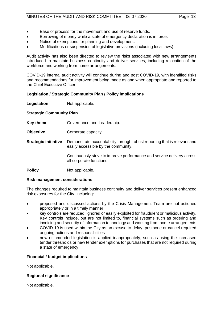- Ease of process for the movement and use of reserve funds.
- Borrowing of money while a state of emergency declaration is in force.
- Notice of exemptions for planning and development.
- Modifications or suspension of legislative provisions (including local laws).

Audit activity has also been directed to review the risks associated with new arrangements introduced to maintain business continuity and deliver services, including relocation of the workforce and working from home arrangements.

COVID-19 internal audit activity will continue during and post COVID-19, with identified risks and recommendations for improvement being made as and when appropriate and reported to the Chief Executive Officer.

### **Legislation / Strategic Community Plan / Policy implications**

**Legislation** Not applicable.

### **Strategic Community Plan**

- **Key theme Governance and Leadership.**
- **Objective Corporate capacity.**
- **Strategic initiative** Demonstrate accountability through robust reporting that is relevant and easily accessible by the community.

Continuously strive to improve performance and service delivery across all corporate functions.

**Policy** Not applicable.

### **Risk management considerations**

The changes required to maintain business continuity and deliver services present enhanced risk exposures for the City, including:

- proposed and discussed actions by the Crisis Management Team are not actioned appropriately or in a timely manner
- key controls are reduced, ignored or easily exploited for fraudulent or malicious activity. Key controls include, but are not limited to, financial systems such as ordering and invoicing and security of information technology and working from home arrangements
- COVID-19 is used within the City as an excuse to delay, postpone or cancel required ongoing actions and responsibilities
- new or amended legislation is applied inappropriately, such as using the increased tender thresholds or new tender exemptions for purchases that are not required during a state of emergency.

### **Financial / budget implications**

Not applicable.

### **Regional significance**

Not applicable.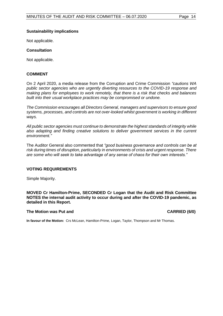#### **Sustainability implications**

Not applicable.

### **Consultation**

Not applicable.

#### **COMMENT**

On 2 April 2020, a media release from the Corruption and Crime Commission *"cautions WA public sector agencies who are urgently diverting resources to the COVID-19 response and making plans for employees to work remotely, that there is a risk that checks and balances built into their usual workplace practices may be compromised or undone.*

*The Commission encourages all Directors General, managers and supervisors to ensure good systems, processes, and controls are not over-looked whilst government is working in different ways.*

*All public sector agencies must continue to demonstrate the highest standards of integrity while also adapting and finding creative solutions to deliver government services in the current environment."*

The Auditor General also commented that *"good business governance and controls can be at risk during times of disruption, particularly in environments of crisis and urgent response. There are some who will seek to take advantage of any sense of chaos for their own interests."*

### **VOTING REQUIREMENTS**

Simple Majority.

**MOVED Cr Hamilton-Prime, SECONDED Cr Logan that the Audit and Risk Committee NOTES the internal audit activity to occur during and after the COVID-19 pandemic, as detailed in this Report.**

#### **The Motion was Put and CARRIED (6/0)**

**In favour of the Motion:** Crs McLean, Hamilton-Prime, Logan, Taylor, Thompson and Mr Thomas.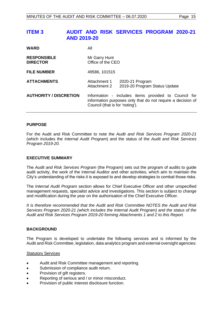# <span id="page-14-0"></span>**ITEM 3 AUDIT AND RISK SERVICES PROGRAM 2020-21 AND 2019-20**

| <b>WARD</b>                           | All                                                                                                                                                    |  |  |
|---------------------------------------|--------------------------------------------------------------------------------------------------------------------------------------------------------|--|--|
| <b>RESPONSIBLE</b><br><b>DIRECTOR</b> | Mr Garry Hunt<br>Office of the CEO                                                                                                                     |  |  |
| <b>FILE NUMBER</b>                    | 49586, 101515                                                                                                                                          |  |  |
| <b>ATTACHMENTS</b>                    | Attachment 1<br>2020-21 Program<br>2019-20 Program Status Update<br>Attachment 2                                                                       |  |  |
| <b>AUTHORITY / DISCRETION</b>         | Information - includes items provided to Council for<br>information purposes only that do not require a decision of<br>Council (that is for 'noting'). |  |  |

#### **PURPOSE**

For the Audit and Risk Committee to note the *Audit and Risk Services Program 2020-21*  (which includes the *Internal Audit Program*) and the status of the *Audit and Risk Services Program 2019-20.*

#### **EXECUTIVE SUMMARY**

The *Audit and Risk Services Program* (the Program) sets out the program of audits to guide audit activity, the work of the Internal Auditor and other activities, which aim to maintain the City's understanding of the risks it is exposed to and develop strategies to combat those risks.

The *Internal Audit Program* section allows for Chief Executive Officer and other unspecified management requests, specialist advice and investigations. This section is subject to change and modification during the year on the authorisation of the Chief Executive Officer.

*It is therefore recommended that the Audit and Risk Committee NOTES the Audit and Risk Services Program 2020-21 (which includes the Internal Audit Program) and the status of the Audit and Risk Services Program 2019-20 forming Attachments 1 and 2 to this Report.*

#### **BACKGROUND**

The Program is developed to undertake the following services and is informed by the Audit and Risk Committee, legislation, data analytics program and external oversight agencies:

#### Statutory Services

- Audit and Risk Committee management and reporting.
- Submission of compliance audit return.
- Provision of gift registers.
- Reporting of serious and / or minor misconduct.
- Provision of public interest disclosure function.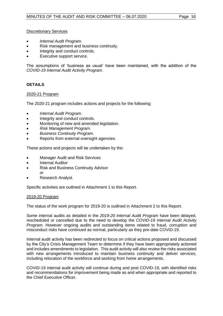# Discretionary Services

- *Internal Audit Program*.
- Risk management and business continuity.
- Integrity and conduct controls.
- Executive support service.

The assumptions of 'business as usual' have been maintained, with the addition of the *COVID-19 Internal Audit Activity Program*.

# **DETAILS**

#### 2020-21 Program

The 2020-21 program includes actions and projects for the following:

- *Internal Audit Program*.
- Integrity and conduct controls.
- Monitoring of new and amended legislation.
- *Risk Management Program*.
- *Business Continuity Program*.
- Reports from external oversight agencies.

These actions and projects will be undertaken by the:

- Manager Audit and Risk Services
- Internal Auditor
- Risk and Business Continuity Advisor or
- Research Analyst.

Specific activities are outlined in Attachment 1 to this Report.

#### 2019-20 Program

The status of the work program for 2019-20 is outlined in Attachment 2 to this Report.

Some internal audits as detailed in the *2019-20 Internal Audit Program* have been delayed, rescheduled or cancelled due to the need to develop the *COVID-19 Internal Audit Activity Program*. However ongoing audits and outstanding items related to fraud, corruption and misconduct risks have continued as normal, particularly as they pre-date COVID-19.

Internal audit activity has been redirected to focus on critical actions proposed and discussed by the City's Crisis Management Team to determine if they have been appropriately actioned and includes amendments to legislation. This audit activity will also review the risks associated with new arrangements introduced to maintain business continuity and deliver services, including relocation of the workforce and working from home arrangements.

COVID-19 internal audit activity will continue during and post COVID-19, with identified risks and recommendations for improvement being made as and when appropriate and reported to the Chief Executive Officer.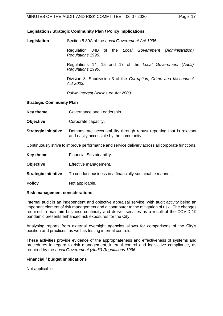#### **Legislation / Strategic Community Plan / Policy implications**

**Legislation** Section 5.89A of the *Local Government Act 1995.*

Regulation 34B of the *Local Government (Administration) Regulations 1996.*

Regulations 14, 15 and 17 of the *Local Government (Audit) Regulations 1996.*

Division 3, Subdivision 3 of the *Corruption, Crime and Misconduct Act 2003.*

*Public Interest Disclosure Act 2003.*

#### **Strategic Community Plan**

- **Key theme Governance and Leadership.**
- **Objective Corporate capacity.**
- **Strategic initiative** Demonstrate accountability through robust reporting that is relevant and easily accessible by the community.

Continuously strive to improve performance and service delivery across all corporate functions.

- **Key theme** Financial Sustainability.
- **Objective** Effective management.
- **Strategic initiative** To conduct business in a financially sustainable manner.
- **Policy** Not applicable.

#### **Risk management considerations**

Internal audit is an independent and objective appraisal service, with audit activity being an important element of risk management and a contributor to the mitigation of risk. The changes required to maintain business continuity and deliver services as a result of the COVID-19 pandemic presents enhanced risk exposures for the City.

Analysing reports from external oversight agencies allows for comparisons of the City's position and practices, as well as testing internal controls.

These activities provide evidence of the appropriateness and effectiveness of systems and procedures in regard to risk management, internal control and legislative compliance, as required by the *Local Government (Audit) Regulations 1996*.

### **Financial / budget implications**

Not applicable.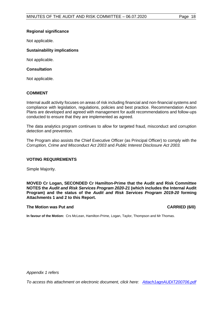### **Regional significance**

Not applicable.

### **Sustainability implications**

Not applicable.

### **Consultation**

Not applicable.

### **COMMENT**

Internal audit activity focuses on areas of risk including financial and non-financial systems and compliance with legislation, regulations, policies and best practice. Recommendation Action Plans are developed and agreed with management for audit recommendations and follow-ups conducted to ensure that they are implemented as agreed.

The data analytics program continues to allow for targeted fraud, misconduct and corruption detection and prevention.

The Program also assists the Chief Executive Officer (as Principal Officer) to comply with the *Corruption, Crime and Misconduct Act 2003* and *Public Interest Disclosure Act 2003.*

#### **VOTING REQUIREMENTS**

Simple Majority.

**MOVED Cr Logan, SECONDED Cr Hamilton-Prime that the Audit and Risk Committee NOTES the** *Audit and Risk Services Program 2020-21* **(which includes the Internal Audit Program) and the status of the** *Audit and Risk Services Program 2019-20* **forming Attachments 1 and 2 to this Report.**

#### The Motion was Put and **CARRIED** (6/0)

**In favour of the Motion:** Crs McLean, Hamilton-Prime, Logan, Taylor, Thompson and Mr Thomas.

*Appendix 1 refers*

*[To access this attachment on electronic document, click here: Attach1agnAUDIT200706.pdf](http://www.joondalup.wa.gov.au/files/committees/AURI/2020/Attach1agnAUDIT200706.pdf)*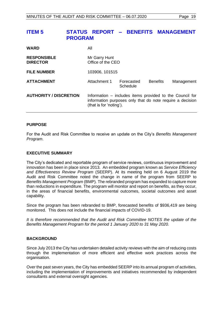# <span id="page-18-0"></span>**ITEM 5 STATUS REPORT – BENEFITS MANAGEMENT PROGRAM**

| <b>WARD</b>                           | All                                                                                                                                              |                        |                 |            |
|---------------------------------------|--------------------------------------------------------------------------------------------------------------------------------------------------|------------------------|-----------------|------------|
| <b>RESPONSIBLE</b><br><b>DIRECTOR</b> | Mr Garry Hunt<br>Office of the CEO                                                                                                               |                        |                 |            |
| <b>FILE NUMBER</b>                    | 103906, 101515                                                                                                                                   |                        |                 |            |
| <b>ATTACHMENT</b>                     | Attachment 1                                                                                                                                     | Forecasted<br>Schedule | <b>Benefits</b> | Management |
| <b>AUTHORITY / DISCRETION</b>         | Information – includes items provided to the Council for<br>information purposes only that do note require a decision<br>(that is for 'noting'). |                        |                 |            |

### **PURPOSE**

For the Audit and Risk Committee to receive an update on the City's *Benefits Management Program*.

#### **EXECUTIVE SUMMARY**

The City's dedicated and reportable program of service reviews, continuous improvement and innovation has been in place since 2013. An embedded program known as *Service Efficiency and Effectiveness Review Program* (SEERP). At its meeting held on 6 August 2019 the Audit and Risk Committee noted the change in name of the program from SEERP to *Benefits Management Program* (BMP)*.* The rebranded program has expanded to capture more than reductions in expenditure. The program will monitor and report on benefits, as they occur, in the areas of financial benefits, environmental outcomes, societal outcomes and asset capability.

Since the program has been rebranded to BMP, forecasted benefits of \$936,419 are being monitored. This does not include the financial impacts of COVID-19.

*It is therefore recommended that the Audit and Risk Committee NOTES the update of the Benefits Management Program for the period 1 January 2020 to 31 May 2020.*

#### **BACKGROUND**

Since July 2013 the City has undertaken detailed activity reviews with the aim of reducing costs through the implementation of more efficient and effective work practices across the organisation.

Over the past seven years, the City has embedded SEERP into its annual program of activities, including the implementation of improvements and initiatives recommended by independent consultants and external oversight agencies.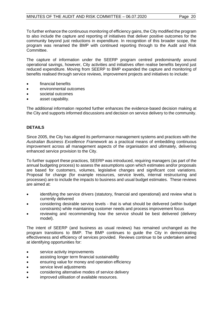To further enhance the continuous monitoring of efficiency gains, the City modified the program to also include the capture and reporting of initiatives that deliver positive outcomes for the community beyond just reductions in expenditure. In recognition of this broader scope, the program was renamed the BMP with continued reporting through to the Audit and Risk Committee.

The capture of information under the SEERP program centred predominantly around operational savings, however, City activities and initiatives often realise benefits beyond just reduced expenditure. Moving from SEERP to BMP expanded the capture and monitoring of benefits realised through service reviews, improvement projects and initiatives to include:

- financial benefits
- environmental outcomes
- societal outcomes
- asset capability.

The additional information reported further enhances the evidence-based decision making at the City and supports informed discussions and decision on service delivery to the community.

# **DETAILS**

Since 2005, the City has aligned its performance management systems and practices with the *Australian Business Excellence Framework* as a practical means of embedding continuous improvement across all management aspects of the organisation and ultimately, delivering enhanced service provision to the City.

To further support these practices, SEERP was introduced, requiring managers (as part of the annual budgeting process) to assess the assumptions upon which estimates and/or proposals are based for customers, volumes, legislative changes and significant cost variations. Proposal for change (for example resources, service levels, internal restructuring and processes) are to include the impacts to business and usual budget estimates. These reviews are aimed at:

- identifying the service drivers (statutory, financial and operational) and review what is currently delivered
- considering desirable service levels that is what should be delivered (within budget constraints) while maintaining customer needs and process improvement focus
- reviewing and recommending how the service should be best delivered (delivery model).

The intent of SEERP (and business as usual reviews) has remained unchanged as the program transitions to BMP. The BMP continues to guide the City in demonstrating effectiveness and efficiency of services provided. Reviews continue to be undertaken aimed at identifying opportunities for:

- service activity improvements
- assisting longer term financial sustainability
- ensuring value for money and operation efficiency
- service level adjustments
- considering alternative modes of service delivery
- improved utilisation of available resources.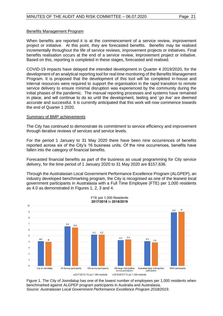#### Benefits Management Program

When benefits are reported it is at the commencement of a service review, improvement project or initiative. At this point, they are forecasted benefits. Benefits may be realised incrementally throughout the life of service reviews, improvement projects or initiatives. Final benefits realisation occurs at the end of a service review, improvement project or initiative. Based on this, reporting is completed in these stages, forecasted and realised.

COVID-19 impacts have delayed the intended development in Quarter 4 2019/2020, for the development of an analytical reporting tool for real time monitoring of the Benefits Management Program. It is proposed that the development of this tool will be completed in-house and internal resources were required to support the organisation in the rapid transition to remote service delivery to ensure minimal disruption was experienced by the community during the initial phases of the pandemic. The manual reporting processes and systems have remained in place, and will continue to do so until the development, testing and '*go live'* are deemed accurate and successful. It is currently anticipated that this work will now commence towards the end of Quarter 1 2020.

#### Summary of BMP achievements

The City has continued to demonstrate its commitment to service efficiency and improvement through iterative reviews of services and service levels.

For the period 1 January to 31 May 2020 there have been nine occurrences of benefits reported across six of the City's 16 business units. Of the nine occurrences, benefits have fallen into the category of financial benefits.

Forecasted financial benefits as part of the business as usual programming for City service delivery, for the time period of 1 January 2020 to 31 May 2020 are \$157,636.

Through the Australasian Local Government Performance Excellence Program (ALGPEP), an industry developed benchmarking program, the City is recognised as one of the leanest local government participants in Australasia with a Full Time Employee (FTE) per 1,000 residents as 4.0 as demonstrated in Figures 1, 2, 3 and 4.



Figure 1. The City of Joondalup has one of the lowest number of employees per 1,000 residents when benchmarked against ALGPEP program participants in Australia and Australasia. *Source: Australasian Local Government Performance Excellence Program 2018/2019.*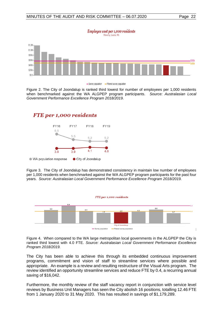



Figure 2. The City of Joondalup is ranked third lowest for number of employees per 1,000 residents when benchmarked against the WA ALGPEP program participants. *Source: Australasian Local Government Performance Excellence Program 2018/2019.*



● WA population response City of Joondalup

Figure 3. The City of Joondalup has demonstrated consistency in maintain low number of employees per 1,000 residents when benchmarked against the WA ALGPEP program participants for the past four years. *Source: Australasian Local Government Performance Excellence Program 2018/2019.*



Figure 4. When compared to the WA large metropolitan local governments in the ALGPEP the City is ranked third lowest with 4.0 FTE. *Source: Australasian Local Government Performance Excellence Program 2018/2019.*

The City has been able to achieve this through its embedded continuous improvement programs, commitment and vision of staff to streamline services where possible and appropriate. An example is a review and resulting restructure of the Visual Arts program. The review identified an opportunity streamline services and reduce FTE by 0.4, a recurring annual saving of \$16,042.

Furthermore, the monthly review of the staff vacancy report in conjunction with service level reviews by Business Unit Managers has seen the City abolish 16 positions, totalling 12.46 FTE from 1 January 2020 to 31 May 2020. This has resulted in savings of \$1,179,289.

# FTE per 1,000 residents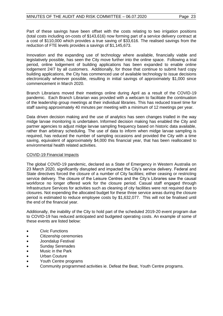Part of these savings have been offset with the costs relating to two irrigation positions (total costs including on-costs of \$143,616) now forming part of a service delivery contract at a cost of \$110,000 which provides a true saving of \$33,616. The realised savings from the reduction of FTE levels provides a savings of \$1,145,673.

Innovation and the expanding use of technology where available, financially viable and legislatively possible, has seen the City move further into the online space. Following a trial period, online lodgement of building applications has been expanded to enable online lodgement 24/7 by all customers. Additionally, for those that continue to submit hard copy building applications, the City has commenced use of available technology to issue decisions electronically wherever possible, resulting in initial savings of approximately \$1,000 since commencement in March 2020.

Branch Librarians moved their meetings online during April as a result of the COVID-19 pandemic. Each Branch Librarian was provided with a webcam to facilitate the continuation of the leadership group meetings at their individual libraries. This has reduced travel time for staff saving approximately 40 minutes per meeting with a minimum of 12 meetings per year.

Data driven decision making and the use of analytics has seen changes trialled in the way midge larvae monitoring is undertaken. Informed decision making has enabled the City and partner agencies to adjust midge larvae sampling frequency based on historic data available, rather than arbitrary scheduling. The use of data to inform when midge larvae sampling is required, has reduced the number of sampling occasions and provided the City with a time saving, equivalent of approximately \$4,000 this financial year, that has been reallocated to environmental health related activities.

### COVID-19 Financial Impacts

The global COVID-19 pandemic, declared as a State of Emergency in Western Australia on 23 March 2020, significantly disrupted and impacted the City's service delivery. Federal and State directives forced the closure of a number of City facilities; either ceasing or restricting service delivery. The closure of the Leisure Centres and the City's Libraries saw the causal workforce no longer offered work for the closure period. Casual staff engaged through Infrastructure Services for activities such as cleaning of city facilities were not required due to closures. Not expending the allocated budget for these three service areas during the closure period is estimated to reduce employee costs by \$1,632,077. This will not be finalised until the end of the financial year.

Additionally, the inability of the City to hold part of the scheduled 2019-20 event program due to COVID-19 has reduced anticipated and budgeted operating costs. An example of some of these events are listed below:

- Civic Functions
- Citizenship ceremonies
- Joondalup Festival
- Sunday Serenades
- Music in the Park
- Urban Couture
- Youth Centre programs
- Community programmed activities ie. Defeat the Beat, Youth Centre programs.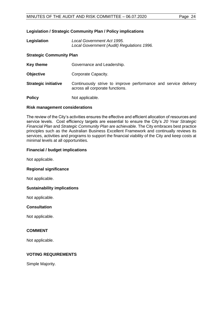# **Legislation / Strategic Community Plan / Policy implications**

**Legislation** *Local Government Act 1995. Local Government (Audit) Regulations 1996.*

# **Strategic Community Plan**

**Key theme Governance and Leadership.** 

- **Objective Corporate Capacity.**
- **Strategic initiative** Continuously strive to improve performance and service delivery across all corporate functions.

**Policy** Not applicable.

### **Risk management considerations**

The review of the City's activities ensures the effective and efficient allocation of resources and service levels. Cost efficiency targets are essential to ensure the City's *20 Year Strategic Financial Plan* and *Strategic Community Plan* are achievable. The City embraces best practice principles such as the Australian Business Excellent Framework and continually reviews its services, activities and programs to support the financial viability of the City and keep costs at minimal levels at all opportunities.

### **Financial / budget implications**

Not applicable.

### **Regional significance**

Not applicable.

### **Sustainability implications**

Not applicable.

### **Consultation**

Not applicable.

### **COMMENT**

Not applicable.

# **VOTING REQUIREMENTS**

Simple Majority.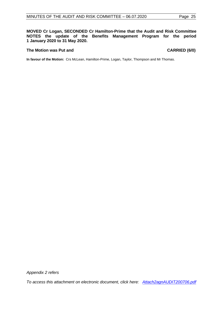**MOVED Cr Logan, SECONDED Cr Hamilton-Prime that the Audit and Risk Committee NOTES the update of the Benefits Management Program for the period 1 January 2020 to 31 May 2020.**

#### The Motion was Put and **CARRIED** (6/0)

**In favour of the Motion:** Crs McLean, Hamilton-Prime, Logan, Taylor, Thompson and Mr Thomas.

*Appendix 2 refers*

*[To access this attachment on electronic document, click here: Attach2agnAUDIT200706.pdf](http://www.joondalup.wa.gov.au/files/committees/AURI/2020/Attach2agnAUDIT200706.pdf)*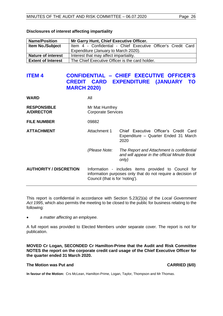| <b>Name/Position</b>      | Mr Garry Hunt, Chief Executive Officer.                       |  |  |  |  |
|---------------------------|---------------------------------------------------------------|--|--|--|--|
| <b>Item No./Subject</b>   | Item 4 - Confidential - Chief Executive Officer's Credit Card |  |  |  |  |
|                           | Expenditure (January to March 2020).                          |  |  |  |  |
| <b>Nature of interest</b> | Interest that may affect impartiality.                        |  |  |  |  |
| <b>Extent of Interest</b> | The Chief Executive Officer is the card holder.               |  |  |  |  |

### **Disclosures of interest affecting impartiality**

# <span id="page-25-0"></span>**ITEM 4 CONFIDENTIAL – CHIEF EXECUTIVE OFFICER'S CREDIT CARD EXPENDITURE (JANUARY TO MARCH 2020)**

| <b>WARD</b>                             | All                                         |                                                                                                                     |  |
|-----------------------------------------|---------------------------------------------|---------------------------------------------------------------------------------------------------------------------|--|
| <b>RESPONSIBLE</b><br><b>A/DIRECTOR</b> | Mr Mat Humfrey<br><b>Corporate Services</b> |                                                                                                                     |  |
| <b>FILE NUMBER</b>                      | 09882                                       |                                                                                                                     |  |
| <b>ATTACHMENT</b>                       | Attachment 1                                | Chief Executive Officer's Credit Card<br>Expenditure - Quarter Ended 31 March<br>2020                               |  |
|                                         | (Please Note:                               | The Report and Attachment is confidential<br>and will appear in the official Minute Book<br>only)                   |  |
| <b>AUTHORITY / DISCRETION</b>           | Council (that is for 'noting').             | Information - includes items provided to Council for<br>information purposes only that do not require a decision of |  |

This report is confidential in accordance with Section 5.23(2)(a) of the *Local Government Act 1995*, which also permits the meeting to be closed to the public for business relating to the following:

• *a matter affecting an employee.*

A full report was provided to Elected Members under separate cover. The report is not for publication.

**MOVED Cr Logan, SECONDED Cr Hamilton-Prime that the Audit and Risk Committee NOTES the report on the corporate credit card usage of the Chief Executive Officer for the quarter ended 31 March 2020.**

## **The Motion was Put and CARRIED (6/0)**

**In favour of the Motion:** Crs McLean, Hamilton-Prime, Logan, Taylor, Thompson and Mr Thomas.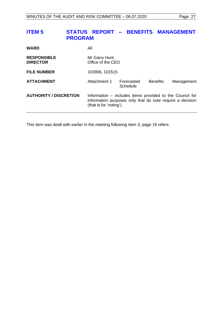# <span id="page-26-0"></span>**ITEM 5 STATUS REPORT – BENEFITS MANAGEMENT PROGRAM**

| <b>WARD</b>                           | All                                                                                                                                              |                        |                 |            |
|---------------------------------------|--------------------------------------------------------------------------------------------------------------------------------------------------|------------------------|-----------------|------------|
| <b>RESPONSIBLE</b><br><b>DIRECTOR</b> | Mr Garry Hunt<br>Office of the CEO                                                                                                               |                        |                 |            |
| <b>FILE NUMBER</b>                    | 103906, 101515                                                                                                                                   |                        |                 |            |
| <b>ATTACHMENT</b>                     | Attachment 1                                                                                                                                     | Forecasted<br>Schedule | <b>Benefits</b> | Management |
| <b>AUTHORITY / DISCRETION</b>         | Information – includes items provided to the Council for<br>information purposes only that do note require a decision<br>(that is for 'noting'). |                        |                 |            |

This item was dealt with earlier in the meeting following Item 3, page [19](#page-18-0) refers.